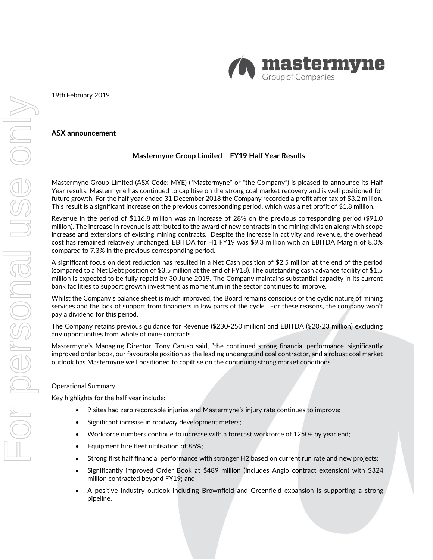

19th February 2019

## **ASX announcement**

# **Mastermyne Group Limited – FY19 Half Year Results**

Mastermyne Group Limited (ASX Code: MYE) ("Mastermyne" or "the Company") is pleased to announce its Half Year results. Mastermyne has continued to capiltise on the strong coal market recovery and is well positioned for future growth. For the half year ended 31 December 2018 the Company recorded a profit after tax of \$3.2 million. This result is a significant increase on the previous corresponding period, which was a net profit of \$1.8 million.

Revenue in the period of \$116.8 million was an increase of 28% on the previous corresponding period (\$91.0 million). The increase in revenue is attributed to the award of new contracts in the mining division along with scope increase and extensions of existing mining contracts. Despite the increase in activity and revenue, the overhead cost has remained relatively unchanged. EBITDA for H1 FY19 was \$9.3 million with an EBITDA Margin of 8.0% compared to 7.3% in the previous corresponding period.

A significant focus on debt reduction has resulted in a Net Cash position of \$2.5 million at the end of the period (compared to a Net Debt position of \$3.5 million at the end of FY18). The outstanding cash advance facility of \$1.5 million is expected to be fully repaid by 30 June 2019. The Company maintains substantial capacity in its current bank facilities to support growth investment as momentum in the sector continues to improve.

Whilst the Company's balance sheet is much improved, the Board remains conscious of the cyclic nature of mining services and the lack of support from financiers in low parts of the cycle. For these reasons, the company won't pay a dividend for this period.

The Company retains previous guidance for Revenue (\$230‐250 million) and EBITDA (\$20‐23 million) excluding any opportunities from whole of mine contracts.

Mastermyne's Managing Director, Tony Caruso said, "the continued strong financial performance, significantly improved order book, our favourable position as the leading underground coal contractor, and a robust coal market outlook has Mastermyne well positioned to capiltise on the continuing strong market conditions."

#### Operational Summary

Key highlights for the half year include:

- 9 sites had zero recordable injuries and Mastermyne's injury rate continues to improve;
- Significant increase in roadway development meters;
- Workforce numbers continue to increase with a forecast workforce of 1250+ by year end;
- Equipment hire fleet ultilisation of 86%;
- Strong first half financial performance with stronger H2 based on current run rate and new projects;
- Significantly improved Order Book at \$489 million (includes Anglo contract extension) with \$324 million contracted beyond FY19; and
- A positive industry outlook including Brownfield and Greenfield expansion is supporting a strong pipeline.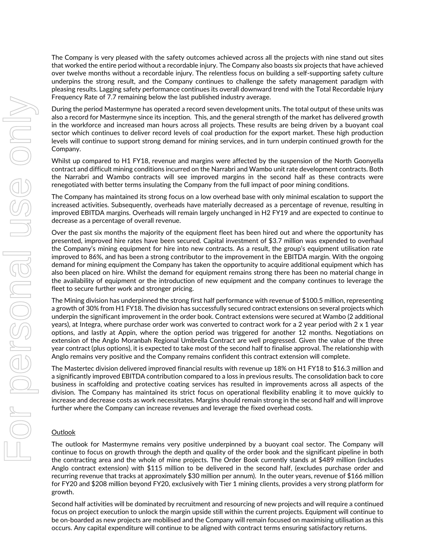The Company is very pleased with the safety outcomes achieved across all the projects with nine stand out sites that worked the entire period without a recordable injury. The Company also boasts six projects that have achieved over twelve months without a recordable injury. The relentless focus on building a self‐supporting safety culture underpins the strong result, and the Company continues to challenge the safety management paradigm with pleasing results. Lagging safety performance continues its overall downward trend with the Total Recordable Injury Frequency Rate of 7.7 remaining below the last published industry average.

During the period Mastermyne has operated a record seven development units. The total output of these units was also a record for Mastermyne since its inception. This, and the general strength of the market has delivered growth in the workforce and increased man hours across all projects. These results are being driven by a buoyant coal sector which continues to deliver record levels of coal production for the export market. These high production levels will continue to support strong demand for mining services, and in turn underpin continued growth for the Company.

Whilst up compared to H1 FY18, revenue and margins were affected by the suspension of the North Goonyella contract and difficult mining conditions incurred on the Narrabri and Wambo unit rate development contracts. Both the Narrabri and Wambo contracts will see improved margins in the second half as these contracts were renegotiated with better terms insulating the Company from the full impact of poor mining conditions.

The Company has maintained its strong focus on a low overhead base with only minimal escalation to support the increased activities. Subsequently, overheads have materially decreased as a percentage of revenue, resulting in improved EBITDA margins. Overheads will remain largely unchanged in H2 FY19 and are expected to continue to decrease as a percentage of overall revenue.

Over the past six months the majority of the equipment fleet has been hired out and where the opportunity has presented, improved hire rates have been secured. Capital investment of \$3.7 million was expended to overhaul the Company's mining equipment for hire into new contracts. As a result, the group's equipment utilisation rate improved to 86%, and has been a strong contributor to the improvement in the EBITDA margin. With the ongoing demand for mining equipment the Company has taken the opportunity to acquire additional equipment which has also been placed on hire. Whilst the demand for equipment remains strong there has been no material change in the availability of equipment or the introduction of new equipment and the company continues to leverage the fleet to secure further work and stronger pricing.

The Mining division has underpinned the strong first half performance with revenue of \$100.5 million, representing a growth of 30% from H1 FY18. The division has successfully secured contract extensions on several projects which underpin the significant improvement in the order book. Contract extensions were secured at Wambo (2 additional years), at Integra, where purchase order work was converted to contract work for a 2 year period with 2 x 1 year options, and lastly at Appin, where the option period was triggered for another 12 months. Negotiations on extension of the Anglo Moranbah Regional Umbrella Contract are well progressed. Given the value of the three year contract (plus options), it is expected to take most of the second half to finalise approval. The relationship with Anglo remains very positive and the Company remains confident this contract extension will complete.

The Mastertec division delivered improved financial results with revenue up 18% on H1 FY18 to \$16.3 million and a significantly improved EBITDA contribution compared to a loss in previous results. The consolidation back to core business in scaffolding and protective coating services has resulted in improvements across all aspects of the division. The Company has maintained its strict focus on operational flexibility enabling it to move quickly to increase and decrease costs as work necessitates. Margins should remain strong in the second half and will improve further where the Company can increase revenues and leverage the fixed overhead costs.

## **Outlook**

The outlook for Mastermyne remains very positive underpinned by a buoyant coal sector. The Company will continue to focus on growth through the depth and quality of the order book and the significant pipeline in both the contracting area and the whole of mine projects. The Order Book currently stands at \$489 million (includes Anglo contract extension) with \$115 million to be delivered in the second half, (excludes purchase order and recurring revenue that tracks at approximately \$30 million per annum). In the outer years, revenue of \$166 million for FY20 and \$208 million beyond FY20, exclusively with Tier 1 mining clients, provides a very strong platform for growth.

Second half activities will be dominated by recruitment and resourcing of new projects and will require a continued focus on project execution to unlock the margin upside still within the current projects. Equipment will continue to be on‐boarded as new projects are mobilised and the Company will remain focused on maximising utilisation as this occurs. Any capital expenditure will continue to be aligned with contract terms ensuring satisfactory returns.